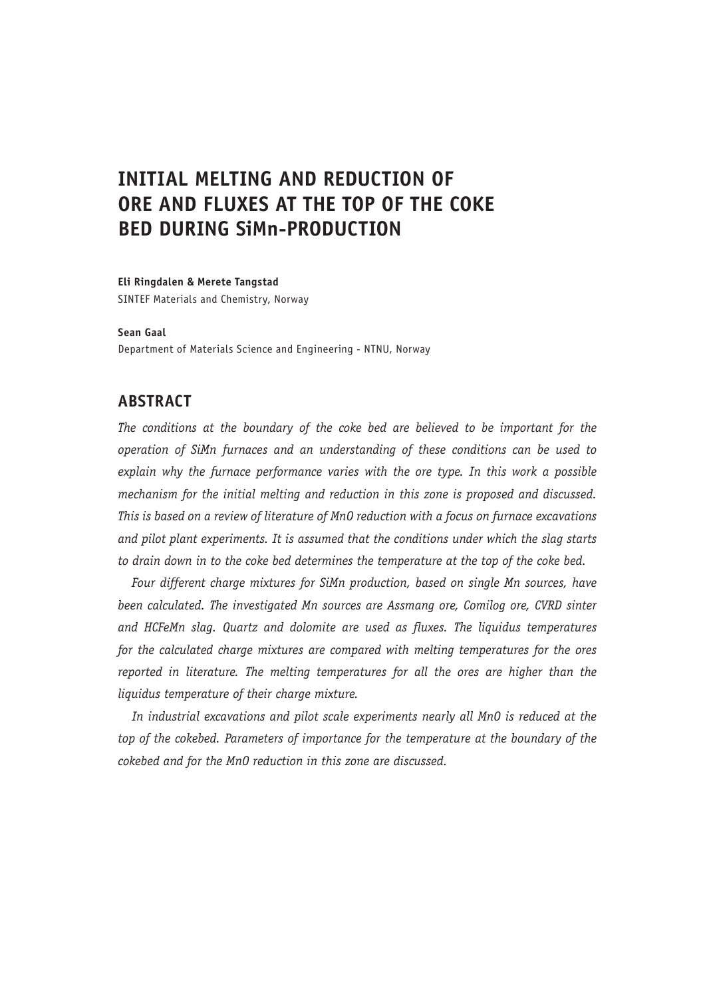# **INITIAL MELTING AND REDUCTION OF ORE AND FLUXES AT THE TOP OF THE COKE BED DURING SiMn-PRODUCTION**

#### **Eli Ringdalen & Merete Tangstad**

SINTEF Materials and Chemistry, Norway

#### **Sean Gaal**

Department of Materials Science and Engineering - NTNU, Norway

# **ABSTRACT**

*The conditions at the boundary of the coke bed are believed to be important for the operation of SiMn furnaces and an understanding of these conditions can be used to explain why the furnace performance varies with the ore type. In this work a possible mechanism for the initial melting and reduction in this zone is proposed and discussed. This is based on a review of literature of MnO reduction with a focus on furnace excavations and pilot plant experiments. It is assumed that the conditions under which the slag starts to drain down in to the coke bed determines the temperature at the top of the coke bed.*

*Four different charge mixtures for SiMn production, based on single Mn sources, have been calculated. The investigated Mn sources are Assmang ore, Comilog ore, CVRD sinter and HCFeMn slag. Quartz and dolomite are used as fluxes. The liquidus temperatures for the calculated charge mixtures are compared with melting temperatures for the ores reported in literature. The melting temperatures for all the ores are higher than the liquidus temperature of their charge mixture.*

*In industrial excavations and pilot scale experiments nearly all MnO is reduced at the top of the cokebed. Parameters of importance for the temperature at the boundary of the cokebed and for the MnO reduction in this zone are discussed.*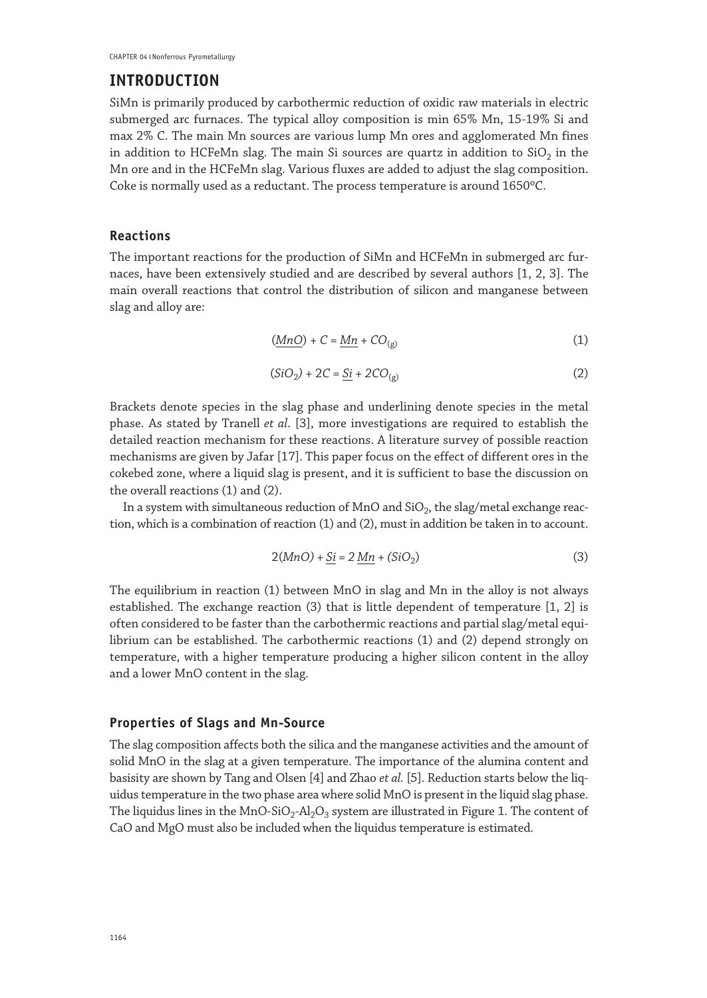## **INTRODUCTION**

SiMn is primarily produced by carbothermic reduction of oxidic raw materials in electric submerged arc furnaces. The typical alloy composition is min 65% Mn, 15-19% Si and max 2% C. The main Mn sources are various lump Mn ores and agglomerated Mn fines in addition to HCFeMn slag. The main Si sources are quartz in addition to  $SiO<sub>2</sub>$  in the Mn ore and in the HCFeMn slag. Various fluxes are added to adjust the slag composition. Coke is normally used as a reductant. The process temperature is around 1650ºC.

### **Reactions**

The important reactions for the production of SiMn and HCFeMn in submerged arc furnaces, have been extensively studied and are described by several authors [1, 2, 3]. The main overall reactions that control the distribution of silicon and manganese between slag and alloy are:

$$
(\underline{MnO}) + C = \underline{Mn} + CO_{(g)}
$$
 (1)

$$
(SiO2) + 2C = \underline{Si} + 2CO(g)
$$
 (2)

Brackets denote species in the slag phase and underlining denote species in the metal phase. As stated by Tranell *et al*. [3], more investigations are required to establish the detailed reaction mechanism for these reactions. A literature survey of possible reaction mechanisms are given by Jafar [17]. This paper focus on the effect of different ores in the cokebed zone, where a liquid slag is present, and it is sufficient to base the discussion on the overall reactions (1) and (2).

In a system with simultaneous reduction of MnO and  $SiO<sub>2</sub>$ , the slag/metal exchange reaction, which is a combination of reaction (1) and (2), must in addition be taken in to account.

$$
2(MnO) + \underline{Si} = 2\underline{Mn} + (SiO_2)
$$
 (3)

The equilibrium in reaction (1) between MnO in slag and Mn in the alloy is not always established. The exchange reaction (3) that is little dependent of temperature [1, 2] is often considered to be faster than the carbothermic reactions and partial slag/metal equilibrium can be established. The carbothermic reactions (1) and (2) depend strongly on temperature, with a higher temperature producing a higher silicon content in the alloy and a lower MnO content in the slag.

### **Properties of Slags and Mn-Source**

The slag composition affects both the silica and the manganese activities and the amount of solid MnO in the slag at a given temperature. The importance of the alumina content and basisity are shown by Tang and Olsen [4] and Zhao *et al.* [5]. Reduction starts below the liquidus temperature in the two phase area where solid MnO is present in the liquid slag phase. The liquidus lines in the MnO-SiO<sub>2</sub>-Al<sub>2</sub>O<sub>3</sub> system are illustrated in Figure 1. The content of CaO and MgO must also be included when the liquidus temperature is estimated.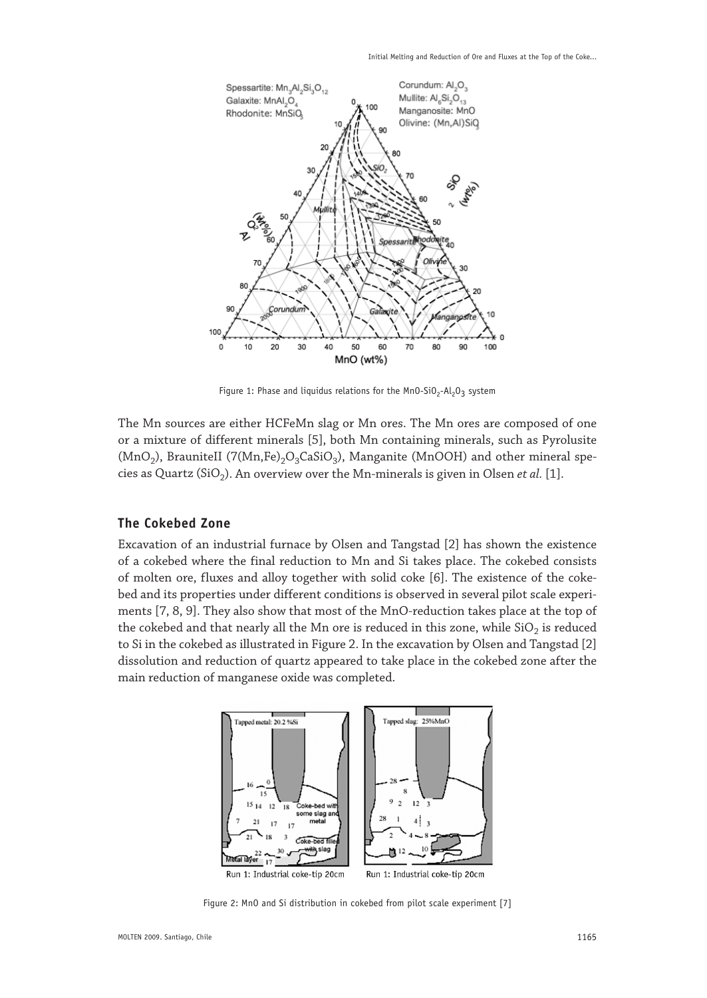

Figure 1: Phase and liquidus relations for the MnO-SiO<sub>2</sub>-Al<sub>2</sub>O<sub>3</sub> system

The Mn sources are either HCFeMn slag or Mn ores. The Mn ores are composed of one or a mixture of different minerals [5], both Mn containing minerals, such as Pyrolusite (MnO<sub>2</sub>), BrauniteII (7(Mn,Fe)<sub>2</sub>O<sub>3</sub>CaSiO<sub>3</sub>), Manganite (MnOOH) and other mineral species as Quartz (SiO<sub>2</sub>). An overview over the Mn-minerals is given in Olsen *et al.* [1].

### **The Cokebed Zone**

Excavation of an industrial furnace by Olsen and Tangstad [2] has shown the existence of a cokebed where the final reduction to Mn and Si takes place. The cokebed consists of molten ore, fluxes and alloy together with solid coke [6]. The existence of the cokebed and its properties under different conditions is observed in several pilot scale experiments [7, 8, 9]. They also show that most of the MnO-reduction takes place at the top of the cokebed and that nearly all the Mn ore is reduced in this zone, while  $SiO<sub>2</sub>$  is reduced to Si in the cokebed as illustrated in Figure 2. In the excavation by Olsen and Tangstad [2] dissolution and reduction of quartz appeared to take place in the cokebed zone after the main reduction of manganese oxide was completed.



Figure 2: MnO and Si distribution in cokebed from pilot scale experiment [7]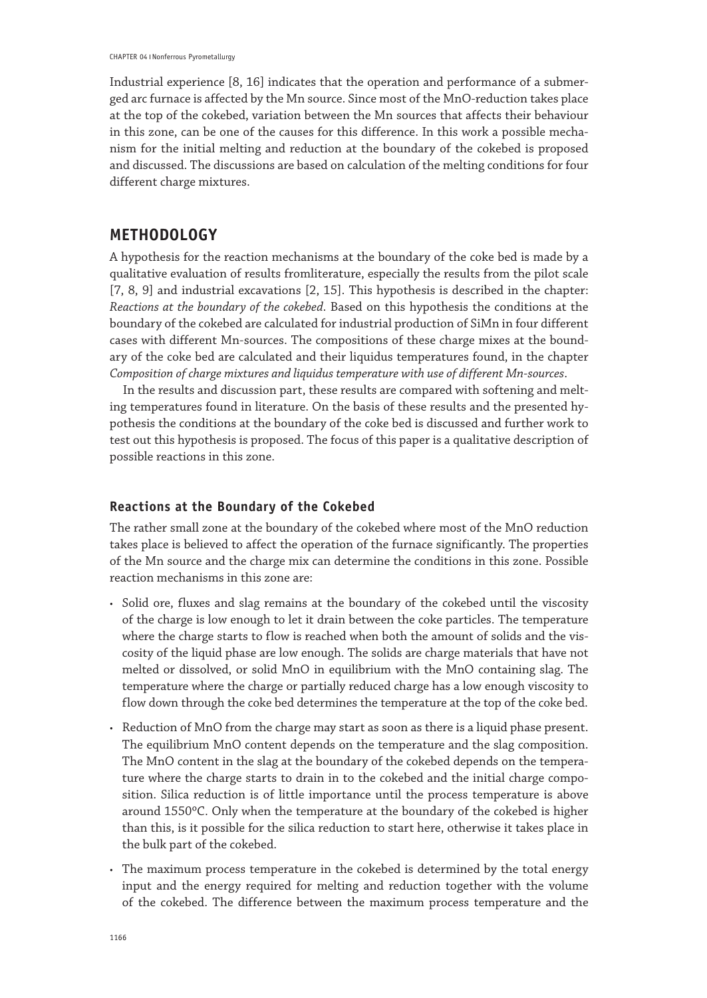Industrial experience [8, 16] indicates that the operation and performance of a submerged arc furnace is affected by the Mn source. Since most of the MnO-reduction takes place at the top of the cokebed, variation between the Mn sources that affects their behaviour in this zone, can be one of the causes for this difference. In this work a possible mechanism for the initial melting and reduction at the boundary of the cokebed is proposed and discussed. The discussions are based on calculation of the melting conditions for four different charge mixtures.

# **METHODOLOGY**

A hypothesis for the reaction mechanisms at the boundary of the coke bed is made by a qualitative evaluation of results fromliterature, especially the results from the pilot scale [7, 8, 9] and industrial excavations [2, 15]. This hypothesis is described in the chapter: *Reactions at the boundary of the cokebed*. Based on this hypothesis the conditions at the boundary of the cokebed are calculated for industrial production of SiMn in four different cases with different Mn-sources. The compositions of these charge mixes at the boundary of the coke bed are calculated and their liquidus temperatures found, in the chapter *Composition of charge mixtures and liquidus temperature with use of different Mn-sources*.

In the results and discussion part, these results are compared with softening and melting temperatures found in literature. On the basis of these results and the presented hypothesis the conditions at the boundary of the coke bed is discussed and further work to test out this hypothesis is proposed. The focus of this paper is a qualitative description of possible reactions in this zone.

### **Reactions at the Boundary of the Cokebed**

The rather small zone at the boundary of the cokebed where most of the MnO reduction takes place is believed to affect the operation of the furnace significantly. The properties of the Mn source and the charge mix can determine the conditions in this zone. Possible reaction mechanisms in this zone are:

- • Solid ore, fluxes and slag remains at the boundary of the cokebed until the viscosity of the charge is low enough to let it drain between the coke particles. The temperature where the charge starts to flow is reached when both the amount of solids and the viscosity of the liquid phase are low enough. The solids are charge materials that have not melted or dissolved, or solid MnO in equilibrium with the MnO containing slag. The temperature where the charge or partially reduced charge has a low enough viscosity to flow down through the coke bed determines the temperature at the top of the coke bed.
- • Reduction of MnO from the charge may start as soon as there is a liquid phase present. The equilibrium MnO content depends on the temperature and the slag composition. The MnO content in the slag at the boundary of the cokebed depends on the temperature where the charge starts to drain in to the cokebed and the initial charge composition. Silica reduction is of little importance until the process temperature is above around 1550ºC. Only when the temperature at the boundary of the cokebed is higher than this, is it possible for the silica reduction to start here, otherwise it takes place in the bulk part of the cokebed.
- • The maximum process temperature in the cokebed is determined by the total energy input and the energy required for melting and reduction together with the volume of the cokebed. The difference between the maximum process temperature and the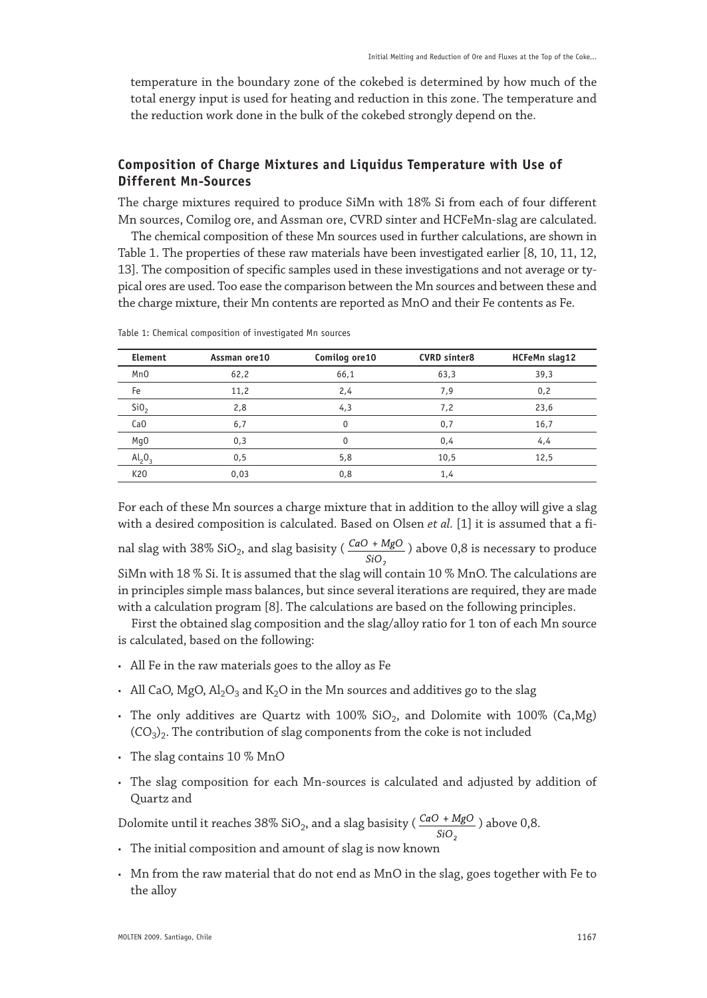temperature in the boundary zone of the cokebed is determined by how much of the total energy input is used for heating and reduction in this zone. The temperature and the reduction work done in the bulk of the cokebed strongly depend on the.

# **Composition of Charge Mixtures and Liquidus Temperature with Use of Different Mn-Sources**

The charge mixtures required to produce SiMn with 18% Si from each of four different Mn sources, Comilog ore, and Assman ore, CVRD sinter and HCFeMn-slag are calculated.

The chemical composition of these Mn sources used in further calculations, are shown in Table 1. The properties of these raw materials have been investigated earlier [8, 10, 11, 12, 13]. The composition of specific samples used in these investigations and not average or typical ores are used. Too ease the comparison between the Mn sources and between these and the charge mixture, their Mn contents are reported as MnO and their Fe contents as Fe.

| Element         | Assman ore10 | Comilog ore10 | <b>CVRD sinter8</b> | HCFeMn slag12 |
|-----------------|--------------|---------------|---------------------|---------------|
| Mn <sub>0</sub> | 62,2         | 66,1          | 63,3                | 39,3          |
| Fe              | 11,2         | 2,4           | 7,9                 | 0,2           |
| Si <sub>0</sub> | 2,8          | 4,3           | 7,2                 | 23,6          |
| Ca <sub>0</sub> | 6,7          | $\Omega$      | 0,7                 | 16,7          |
| Mg <sub>0</sub> | 0,3          | $\Omega$      | 0,4                 | 4,4           |
| $Al_2O_3$       | 0,5          | 5,8           | 10,5                | 12,5          |
| K20             | 0,03         | 0,8           | 1,4                 |               |

Table 1: Chemical composition of investigated Mn sources

For each of these Mn sources a charge mixture that in addition to the alloy will give a slag with a desired composition is calculated. Based on Olsen *et al.* [1] it is assumed that a final slag with 38% SiO<sub>2</sub>, and slag basisity ( $\frac{CaO + MgO}{SiO_2}$ ) above 0,8 is necessary to produce SiMn with 18 % Si. It is assumed that the slag will contain 10 % MnO. The calculations are in principles simple mass balances, but since several iterations are required, they are made with a calculation program [8]. The calculations are based on the following principles.

First the obtained slag composition and the slag/alloy ratio for 1 ton of each Mn source is calculated, based on the following:

- • All Fe in the raw materials goes to the alloy as Fe
- All CaO, MgO,  $\text{Al}_2\text{O}_3$  and  $\text{K}_2\text{O}$  in the Mn sources and additives go to the slag
- The only additives are Quartz with  $100\%$  SiO<sub>2</sub>, and Dolomite with  $100\%$  (Ca,Mg)  $(CO_3)$ . The contribution of slag components from the coke is not included
- • The slag contains 10 % MnO
- • The slag composition for each Mn-sources is calculated and adjusted by addition of Quartz and

Dolomite until it reaches 38% SiO<sub>2</sub>, and a slag basisity ( $\frac{CaO + MgO}{SiO_2}$ ) above 0,8.

- • The initial composition and amount of slag is now known
- $\cdot$  Mn from the raw material that do not end as MnO in the slag, goes together with Fe to the alloy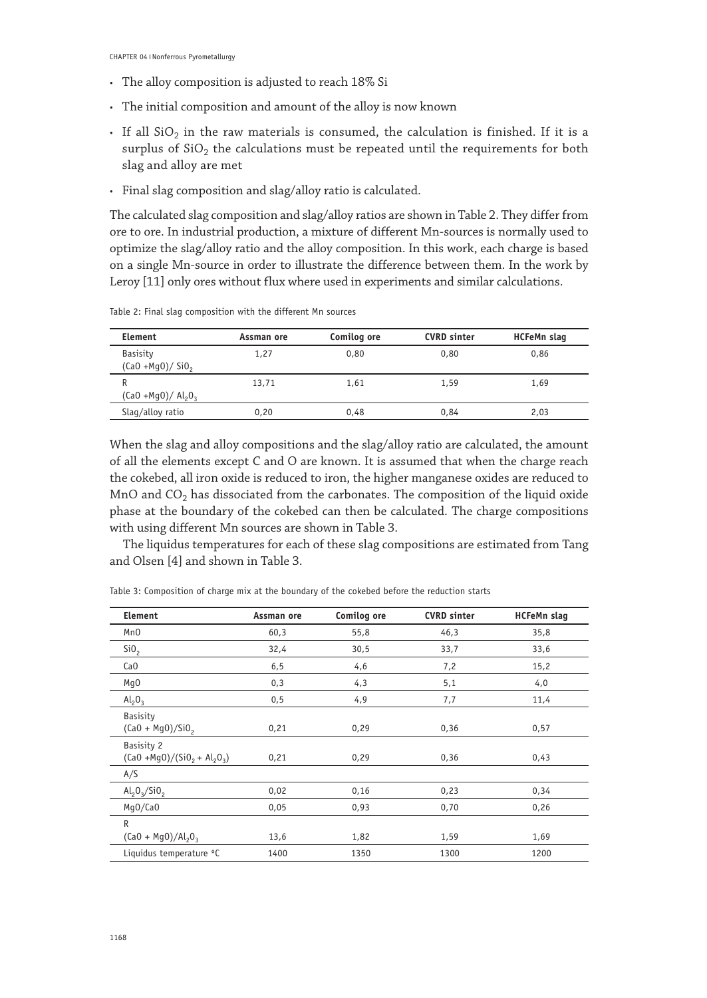- • The alloy composition is adjusted to reach 18% Si
- • The initial composition and amount of the alloy is now known
- If all  $SiO<sub>2</sub>$  in the raw materials is consumed, the calculation is finished. If it is a surplus of  $SiO<sub>2</sub>$  the calculations must be repeated until the requirements for both slag and alloy are met
- • Final slag composition and slag/alloy ratio is calculated.

The calculated slag composition and slag/alloy ratios are shown in Table 2. They differ from ore to ore. In industrial production, a mixture of different Mn-sources is normally used to optimize the slag/alloy ratio and the alloy composition. In this work, each charge is based on a single Mn-source in order to illustrate the difference between them. In the work by Leroy [11] only ores without flux where used in experiments and similar calculations.

Table 2: Final slag composition with the different Mn sources

| Element                               | Assman ore | Comilog ore | <b>CVRD</b> sinter | HCFeMn slag |
|---------------------------------------|------------|-------------|--------------------|-------------|
| <b>Basisity</b><br>$(Ca0 + Mq0)/Si02$ | 1.27       | 0.80        | 0.80               | 0.86        |
| R<br>$(Ca0 + Mq0)/ Al_2O_3$           | 13,71      | 1.61        | 1.59               | 1.69        |
| Slag/alloy ratio                      | 0.20       | 0.48        | 0.84               | 2.03        |
|                                       |            |             |                    |             |

When the slag and alloy compositions and the slag/alloy ratio are calculated, the amount of all the elements except C and O are known. It is assumed that when the charge reach the cokebed, all iron oxide is reduced to iron, the higher manganese oxides are reduced to MnO and  $CO<sub>2</sub>$  has dissociated from the carbonates. The composition of the liquid oxide phase at the boundary of the cokebed can then be calculated. The charge compositions with using different Mn sources are shown in Table 3.

The liquidus temperatures for each of these slag compositions are estimated from Tang and Olsen [4] and shown in Table 3.

| Element                                    | Assman ore | Comilog ore | <b>CVRD</b> sinter | <b>HCFeMn slag</b> |
|--------------------------------------------|------------|-------------|--------------------|--------------------|
| Mn <sub>0</sub>                            | 60,3       | 55,8        | 46,3               | 35,8               |
| Si <sub>0</sub>                            | 32,4       | 30,5        | 33,7               | 33,6               |
| Ca <sub>0</sub>                            | 6, 5       | 4,6         | 7,2                | 15,2               |
| Mq0                                        | 0,3        | 4,3         | 5,1                | 4,0                |
| $Al_2O_3$                                  | 0,5        | 4,9         | 7,7                | 11,4               |
| Basisity<br>$(Ca0 + Mg0)/Si02$             | 0,21       | 0,29        | 0,36               | 0,57               |
| Basisity 2<br>$(Ca0 + Mq0)/(Si02 + Al2O3)$ | 0,21       | 0,29        | 0,36               | 0,43               |
| A/S                                        |            |             |                    |                    |
| $Al_2O_3/SiO_2$                            | 0,02       | 0,16        | 0,23               | 0,34               |
| Mq0/CaO                                    | 0,05       | 0,93        | 0,70               | 0,26               |
| $\mathsf{R}$                               |            |             |                    |                    |
| $(Ca0 + Mq0)/Al_2O_3$                      | 13,6       | 1,82        | 1,59               | 1,69               |
| Liquidus temperature °C                    | 1400       | 1350        | 1300               | 1200               |

Table 3: Composition of charge mix at the boundary of the cokebed before the reduction starts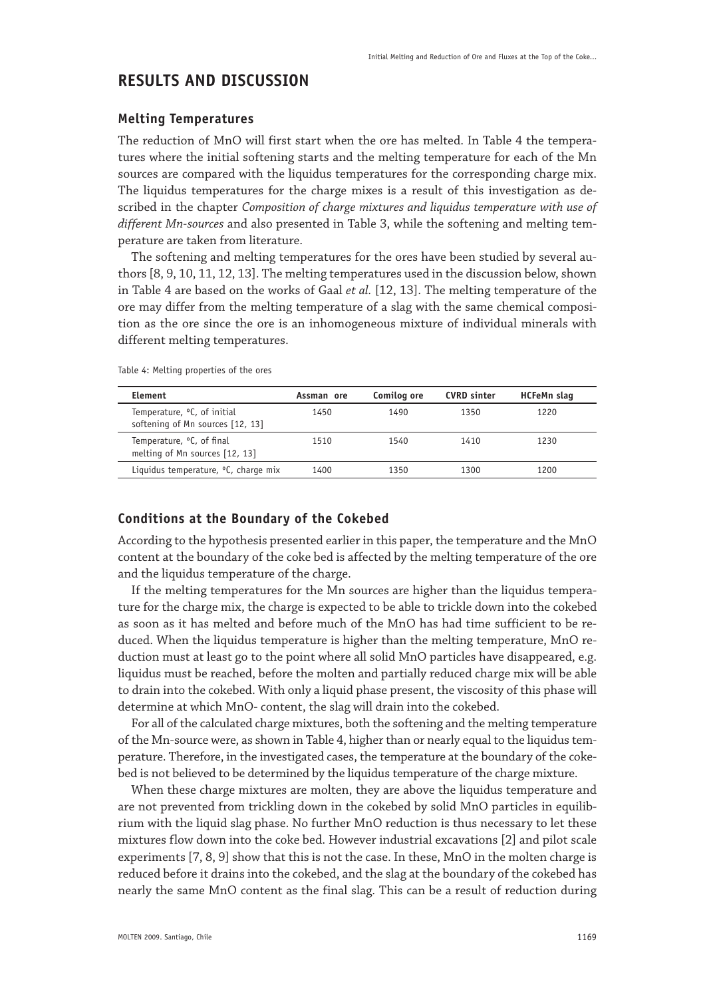# **RESULTS AND DISCUSSION**

### **Melting Temperatures**

The reduction of MnO will first start when the ore has melted. In Table 4 the temperatures where the initial softening starts and the melting temperature for each of the Mn sources are compared with the liquidus temperatures for the corresponding charge mix. The liquidus temperatures for the charge mixes is a result of this investigation as described in the chapter *Composition of charge mixtures and liquidus temperature with use of different Mn-sources* and also presented in Table 3, while the softening and melting temperature are taken from literature.

The softening and melting temperatures for the ores have been studied by several authors [8, 9, 10, 11, 12, 13]. The melting temperatures used in the discussion below, shown in Table 4 are based on the works of Gaal *et al.* [12, 13]. The melting temperature of the ore may differ from the melting temperature of a slag with the same chemical composition as the ore since the ore is an inhomogeneous mixture of individual minerals with different melting temperatures.

| Element                                                                     | Assman ore | Comilog ore | <b>CVRD</b> sinter | HCFeMn slag |
|-----------------------------------------------------------------------------|------------|-------------|--------------------|-------------|
| Temperature, <sup>o</sup> C, of initial<br>softening of Mn sources [12, 13] | 1450       | 1490        | 1350               | 1220        |
| Temperature, <sup>o</sup> C, of final<br>melting of Mn sources [12, 13]     | 1510       | 1540        | 1410               | 1230        |
| Liquidus temperature, °C, charge mix                                        | 1400       | 1350        | 1300               | 1200        |

Table 4: Melting properties of the ores

### **Conditions at the Boundary of the Cokebed**

According to the hypothesis presented earlier in this paper, the temperature and the MnO content at the boundary of the coke bed is affected by the melting temperature of the ore and the liquidus temperature of the charge.

If the melting temperatures for the Mn sources are higher than the liquidus temperature for the charge mix, the charge is expected to be able to trickle down into the cokebed as soon as it has melted and before much of the MnO has had time sufficient to be reduced. When the liquidus temperature is higher than the melting temperature, MnO reduction must at least go to the point where all solid MnO particles have disappeared, e.g. liquidus must be reached, before the molten and partially reduced charge mix will be able to drain into the cokebed. With only a liquid phase present, the viscosity of this phase will determine at which MnO- content, the slag will drain into the cokebed.

For all of the calculated charge mixtures, both the softening and the melting temperature of the Mn-source were, as shown in Table 4, higher than or nearly equal to the liquidus temperature. Therefore, in the investigated cases, the temperature at the boundary of the cokebed is not believed to be determined by the liquidus temperature of the charge mixture.

When these charge mixtures are molten, they are above the liquidus temperature and are not prevented from trickling down in the cokebed by solid MnO particles in equilibrium with the liquid slag phase. No further MnO reduction is thus necessary to let these mixtures flow down into the coke bed. However industrial excavations [2] and pilot scale experiments [7, 8, 9] show that this is not the case. In these, MnO in the molten charge is reduced before it drains into the cokebed, and the slag at the boundary of the cokebed has nearly the same MnO content as the final slag. This can be a result of reduction during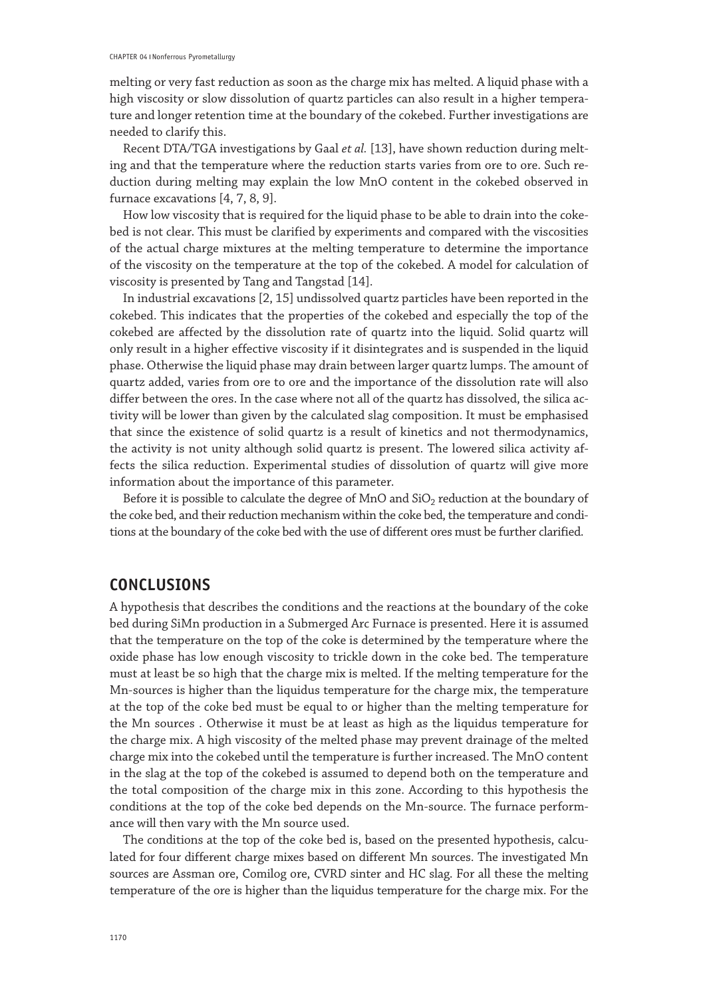melting or very fast reduction as soon as the charge mix has melted. A liquid phase with a high viscosity or slow dissolution of quartz particles can also result in a higher temperature and longer retention time at the boundary of the cokebed. Further investigations are needed to clarify this.

Recent DTA/TGA investigations by Gaal *et al.* [13], have shown reduction during melting and that the temperature where the reduction starts varies from ore to ore. Such reduction during melting may explain the low MnO content in the cokebed observed in furnace excavations [4, 7, 8, 9].

How low viscosity that is required for the liquid phase to be able to drain into the cokebed is not clear. This must be clarified by experiments and compared with the viscosities of the actual charge mixtures at the melting temperature to determine the importance of the viscosity on the temperature at the top of the cokebed. A model for calculation of viscosity is presented by Tang and Tangstad [14].

In industrial excavations [2, 15] undissolved quartz particles have been reported in the cokebed. This indicates that the properties of the cokebed and especially the top of the cokebed are affected by the dissolution rate of quartz into the liquid. Solid quartz will only result in a higher effective viscosity if it disintegrates and is suspended in the liquid phase. Otherwise the liquid phase may drain between larger quartz lumps. The amount of quartz added, varies from ore to ore and the importance of the dissolution rate will also differ between the ores. In the case where not all of the quartz has dissolved, the silica activity will be lower than given by the calculated slag composition. It must be emphasised that since the existence of solid quartz is a result of kinetics and not thermodynamics, the activity is not unity although solid quartz is present. The lowered silica activity affects the silica reduction. Experimental studies of dissolution of quartz will give more information about the importance of this parameter.

Before it is possible to calculate the degree of  $MnO$  and  $SiO<sub>2</sub>$  reduction at the boundary of the coke bed, and their reduction mechanism within the coke bed, the temperature and conditions at the boundary of the coke bed with the use of different ores must be further clarified.

# **CONCLUSIONS**

A hypothesis that describes the conditions and the reactions at the boundary of the coke bed during SiMn production in a Submerged Arc Furnace is presented. Here it is assumed that the temperature on the top of the coke is determined by the temperature where the oxide phase has low enough viscosity to trickle down in the coke bed. The temperature must at least be so high that the charge mix is melted. If the melting temperature for the Mn-sources is higher than the liquidus temperature for the charge mix, the temperature at the top of the coke bed must be equal to or higher than the melting temperature for the Mn sources . Otherwise it must be at least as high as the liquidus temperature for the charge mix. A high viscosity of the melted phase may prevent drainage of the melted charge mix into the cokebed until the temperature is further increased. The MnO content in the slag at the top of the cokebed is assumed to depend both on the temperature and the total composition of the charge mix in this zone. According to this hypothesis the conditions at the top of the coke bed depends on the Mn-source. The furnace performance will then vary with the Mn source used.

The conditions at the top of the coke bed is, based on the presented hypothesis, calculated for four different charge mixes based on different Mn sources. The investigated Mn sources are Assman ore, Comilog ore, CVRD sinter and HC slag. For all these the melting temperature of the ore is higher than the liquidus temperature for the charge mix. For the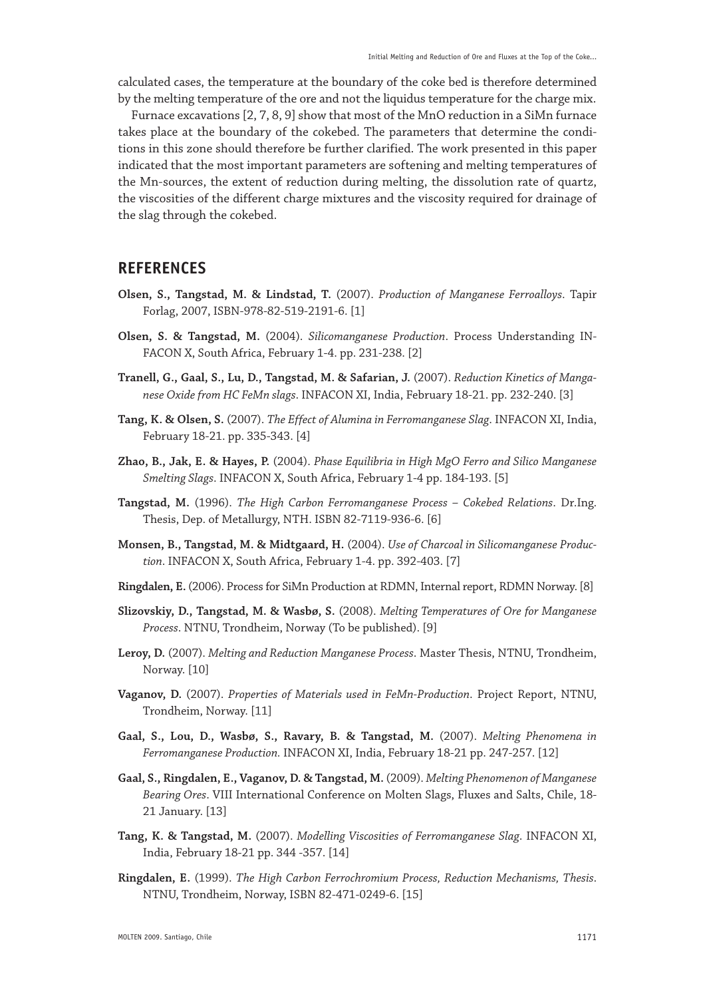calculated cases, the temperature at the boundary of the coke bed is therefore determined by the melting temperature of the ore and not the liquidus temperature for the charge mix.

Furnace excavations [2, 7, 8, 9] show that most of the MnO reduction in a SiMn furnace takes place at the boundary of the cokebed. The parameters that determine the conditions in this zone should therefore be further clarified. The work presented in this paper indicated that the most important parameters are softening and melting temperatures of the Mn-sources, the extent of reduction during melting, the dissolution rate of quartz, the viscosities of the different charge mixtures and the viscosity required for drainage of the slag through the cokebed.

### **REFERENCES**

- **Olsen, S., Tangstad, M. & Lindstad, T.** (2007). *Production of Manganese Ferroalloys*. Tapir Forlag, 2007, ISBN-978-82-519-2191-6. [1]
- **Olsen, S. & Tangstad, M.** (2004). *Silicomanganese Production*. Process Understanding IN-FACON X, South Africa, February 1-4. pp. 231-238. [2]
- **Tranell, G., Gaal, S., Lu, D., Tangstad, M. & Safarian, J.** (2007). *Reduction Kinetics of Manganese Oxide from HC FeMn slags*. INFACON XI, India, February 18-21. pp. 232-240. [3]
- **Tang, K. & Olsen, S.** (2007). *The Effect of Alumina in Ferromanganese Slag*. INFACON XI, India, February 18-21. pp. 335-343. [4]
- **Zhao, B., Jak, E. & Hayes, P.** (2004). *Phase Equilibria in High MgO Ferro and Silico Manganese Smelting Slags*. INFACON X, South Africa, February 1-4 pp. 184-193. [5]
- **Tangstad, M.** (1996). *The High Carbon Ferromanganese Process Cokebed Relations*. Dr.Ing. Thesis, Dep. of Metallurgy, NTH. ISBN 82-7119-936-6. [6]
- **Monsen, B., Tangstad, M. & Midtgaard, H.** (2004). *Use of Charcoal in Silicomanganese Production*. INFACON X, South Africa, February 1-4. pp. 392-403. [7]
- **Ringdalen, E.** (2006). Process for SiMn Production at RDMN, Internal report, RDMN Norway. [8]
- **Slizovskiy, D., Tangstad, M. & Wasbø, S.** (2008). *Melting Temperatures of Ore for Manganese Process*. NTNU, Trondheim, Norway (To be published). [9]
- **Leroy, D.** (2007). *Melting and Reduction Manganese Process*. Master Thesis, NTNU, Trondheim, Norway. [10]
- **Vaganov, D.** (2007). *Properties of Materials used in FeMn-Production*. Project Report, NTNU, Trondheim, Norway. [11]
- **Gaal, S., Lou, D., Wasbø, S., Ravary, B. & Tangstad, M.** (2007). *Melting Phenomena in Ferromanganese Production.* INFACON XI, India, February 18-21 pp. 247-257. [12]
- **Gaal, S., Ringdalen, E., Vaganov, D. & Tangstad, M.** (2009). *Melting Phenomenon of Manganese Bearing Ores*. VIII International Conference on Molten Slags, Fluxes and Salts, Chile, 18- 21 January. [13]
- **Tang, K. & Tangstad, M.** (2007). *Modelling Viscosities of Ferromanganese Slag*. INFACON XI, India, February 18-21 pp. 344 -357. [14]
- **Ringdalen, E.** (1999). *The High Carbon Ferrochromium Process, Reduction Mechanisms, Thesis*. NTNU, Trondheim, Norway, ISBN 82-471-0249-6. [15]